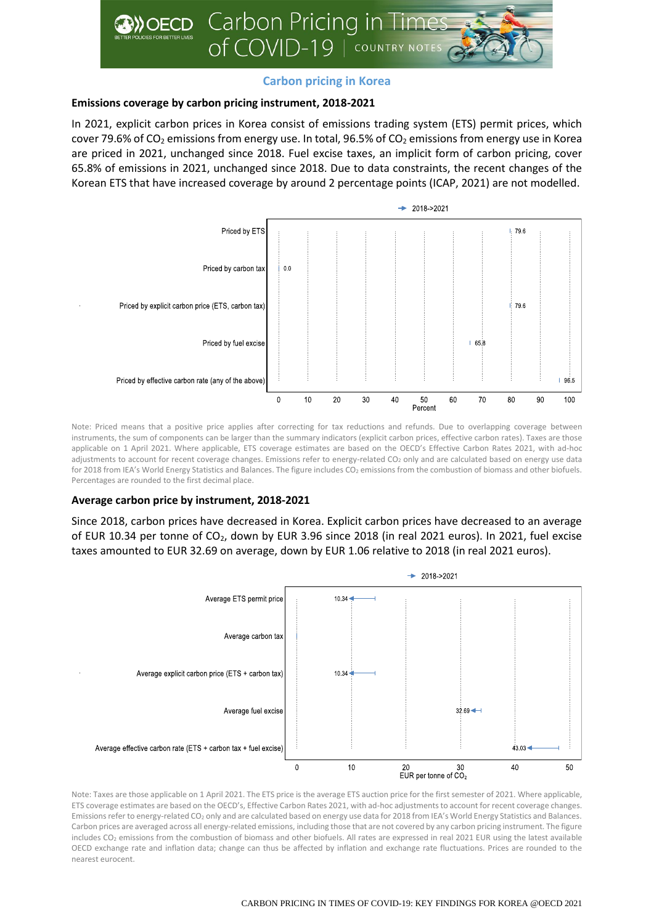

# **Carbon pricing in Korea**

## **Emissions coverage by carbon pricing instrument, 2018-2021**

In 2021, explicit carbon prices in Korea consist of emissions trading system (ETS) permit prices, which cover 79.6% of CO<sub>2</sub> emissions from energy use. In total, 96.5% of CO<sub>2</sub> emissions from energy use in Korea are priced in 2021, unchanged since 2018. Fuel excise taxes, an implicit form of carbon pricing, cover 65.8% of emissions in 2021, unchanged since 2018. Due to data constraints, the recent changes of the Korean ETS that have increased coverage by around 2 percentage points (ICAP, 2021) are not modelled.



Note: Priced means that a positive price applies after correcting for tax reductions and refunds. Due to overlapping coverage between instruments, the sum of components can be larger than the summary indicators (explicit carbon prices, effective carbon rates). Taxes are those applicable on 1 April 2021. Where applicable, ETS coverage estimates are based on the OECD's Effective Carbon Rates 2021, with ad-hoc adjustments to account for recent coverage changes. Emissions refer to energy-related CO<sub>2</sub> only and are calculated based on energy use data for 2018 from IEA's World Energy Statistics and Balances. The figure includes CO<sub>2</sub> emissions from the combustion of biomass and other biofuels. Percentages are rounded to the first decimal place.

## **Average carbon price by instrument, 2018-2021**

Since 2018, carbon prices have decreased in Korea. Explicit carbon prices have decreased to an average of EUR 10.34 per tonne of CO<sub>2</sub>, down by EUR 3.96 since 2018 (in real 2021 euros). In 2021, fuel excise taxes amounted to EUR 32.69 on average, down by EUR 1.06 relative to 2018 (in real 2021 euros).



Note: Taxes are those applicable on 1 April 2021. The ETS price is the average ETS auction price for the first semester of 2021. Where applicable, ETS coverage estimates are based on the OECD's, Effective Carbon Rates 2021, with ad-hoc adjustments to account for recent coverage changes. Emissions refer to energy-related CO<sub>2</sub> only and are calculated based on energy use data for 2018 from IEA's World Energy Statistics and Balances. Carbon prices are averaged across all energy-related emissions, including those that are not covered by any carbon pricing instrument. The figure includes CO<sub>2</sub> emissions from the combustion of biomass and other biofuels. All rates are expressed in real 2021 EUR using the latest available OECD exchange rate and inflation data; change can thus be affected by inflation and exchange rate fluctuations. Prices are rounded to the nearest eurocent.